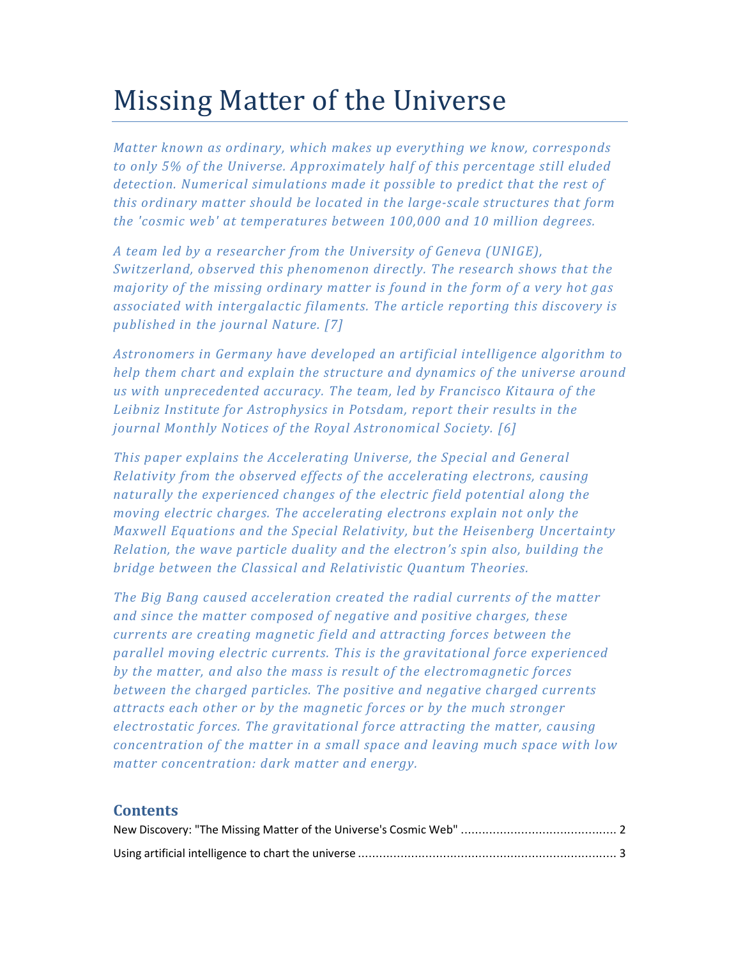# Missing Matter of the Universe

*Matter known as ordinary, which makes up everything we know, corresponds to only 5% of the Universe. Approximately half of this percentage still eluded detection. Numerical simulations made it possible to predict that the rest of this ordinary matter should be located in the large-scale structures that form the 'cosmic web' at temperatures between 100,000 and 10 million degrees.* 

*A team led by a researcher from the University of Geneva (UNIGE), Switzerland, observed this phenomenon directly. The research shows that the majority of the missing ordinary matter is found in the form of a very hot gas associated with intergalactic filaments. The article reporting this discovery is published in the journal Nature. [7]* 

*Astronomers in Germany have developed an artificial intelligence algorithm to help them chart and explain the structure and dynamics of the universe around us with unprecedented accuracy. The team, led by Francisco Kitaura of the Leibniz Institute for Astrophysics in Potsdam, report their results in the journal Monthly Notices of the Royal Astronomical Society. [6]* 

*This paper explains the Accelerating Universe, the Special and General Relativity from the observed effects of the accelerating electrons, causing naturally the experienced changes of the electric field potential along the moving electric charges. The accelerating electrons explain not only the Maxwell Equations and the Special Relativity, but the Heisenberg Uncertainty Relation, the wave particle duality and the electron's spin also, building the bridge between the Classical and Relativistic Quantum Theories.* 

*The Big Bang caused acceleration created the radial currents of the matter and since the matter composed of negative and positive charges, these currents are creating magnetic field and attracting forces between the parallel moving electric currents. This is the gravitational force experienced by the matter, and also the mass is result of the electromagnetic forces between the charged particles. The positive and negative charged currents attracts each other or by the magnetic forces or by the much stronger electrostatic forces. The gravitational force attracting the matter, causing concentration of the matter in a small space and leaving much space with low matter concentration: dark matter and energy.* 

# **Contents**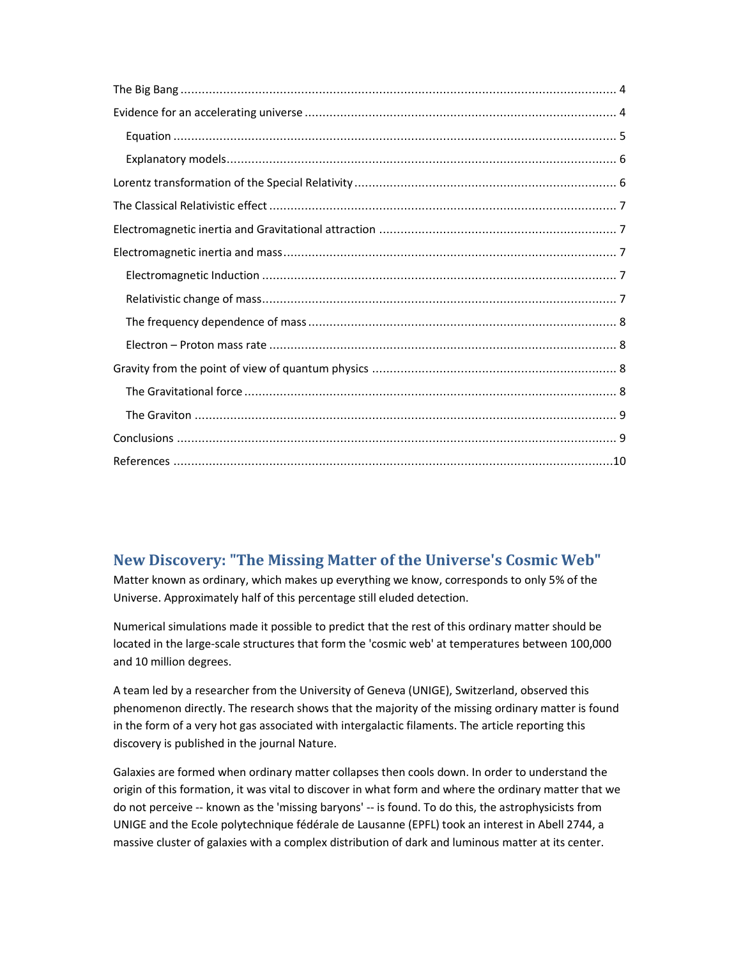# **New Discovery: "The Missing Matter of the Universe's Cosmic Web"**

Matter known as ordinary, which makes up everything we know, corresponds to only 5% of the Universe. Approximately half of this percentage still eluded detection.

Numerical simulations made it possible to predict that the rest of this ordinary matter should be located in the large-scale structures that form the 'cosmic web' at temperatures between 100,000 and 10 million degrees.

A team led by a researcher from the University of Geneva (UNIGE), Switzerland, observed this phenomenon directly. The research shows that the majority of the missing ordinary matter is found in the form of a very hot gas associated with intergalactic filaments. The article reporting this discovery is published in the journal Nature.

Galaxies are formed when ordinary matter collapses then cools down. In order to understand the origin of this formation, it was vital to discover in what form and where the ordinary matter that we do not perceive -- known as the 'missing baryons' -- is found. To do this, the astrophysicists from UNIGE and the Ecole polytechnique fédérale de Lausanne (EPFL) took an interest in Abell 2744, a massive cluster of galaxies with a complex distribution of dark and luminous matter at its center.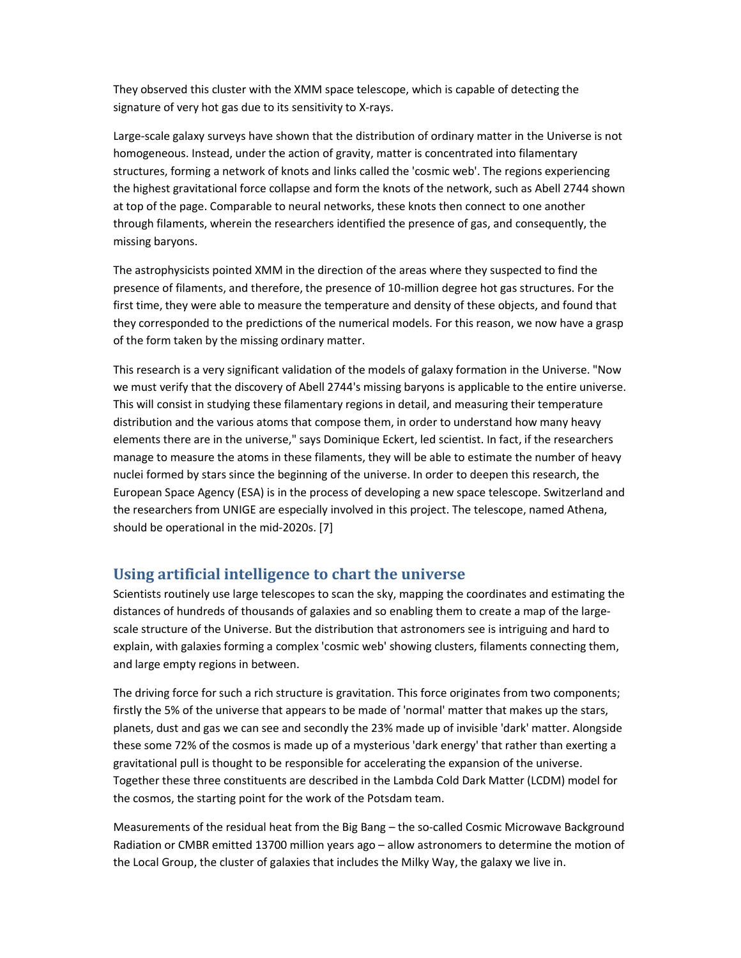They observed this cluster with the XMM space telescope, which is capable of detecting the signature of very hot gas due to its sensitivity to X-rays.

Large-scale galaxy surveys have shown that the distribution of ordinary matter in the Universe is not homogeneous. Instead, under the action of gravity, matter is concentrated into filamentary structures, forming a network of knots and links called the 'cosmic web'. The regions experiencing the highest gravitational force collapse and form the knots of the network, such as Abell 2744 shown at top of the page. Comparable to neural networks, these knots then connect to one another through filaments, wherein the researchers identified the presence of gas, and consequently, the missing baryons.

The astrophysicists pointed XMM in the direction of the areas where they suspected to find the presence of filaments, and therefore, the presence of 10-million degree hot gas structures. For the first time, they were able to measure the temperature and density of these objects, and found that they corresponded to the predictions of the numerical models. For this reason, we now have a grasp of the form taken by the missing ordinary matter.

This research is a very significant validation of the models of galaxy formation in the Universe. "Now we must verify that the discovery of Abell 2744's missing baryons is applicable to the entire universe. This will consist in studying these filamentary regions in detail, and measuring their temperature distribution and the various atoms that compose them, in order to understand how many heavy elements there are in the universe," says Dominique Eckert, led scientist. In fact, if the researchers manage to measure the atoms in these filaments, they will be able to estimate the number of heavy nuclei formed by stars since the beginning of the universe. In order to deepen this research, the European Space Agency (ESA) is in the process of developing a new space telescope. Switzerland and the researchers from UNIGE are especially involved in this project. The telescope, named Athena, should be operational in the mid-2020s. [7]

#### **Using artificial intelligence to chart the universe**

Scientists routinely use large telescopes to scan the sky, mapping the coordinates and estimating the distances of hundreds of thousands of galaxies and so enabling them to create a map of the largescale structure of the Universe. But the distribution that astronomers see is intriguing and hard to explain, with galaxies forming a complex 'cosmic web' showing clusters, filaments connecting them, and large empty regions in between.

The driving force for such a rich structure is gravitation. This force originates from two components; firstly the 5% of the universe that appears to be made of 'normal' matter that makes up the stars, planets, dust and gas we can see and secondly the 23% made up of invisible 'dark' matter. Alongside these some 72% of the cosmos is made up of a mysterious 'dark energy' that rather than exerting a gravitational pull is thought to be responsible for accelerating the expansion of the universe. Together these three constituents are described in the Lambda Cold Dark Matter (LCDM) model for the cosmos, the starting point for the work of the Potsdam team.

Measurements of the residual heat from the Big Bang – the so-called Cosmic Microwave Background Radiation or CMBR emitted 13700 million years ago – allow astronomers to determine the motion of the Local Group, the cluster of galaxies that includes the Milky Way, the galaxy we live in.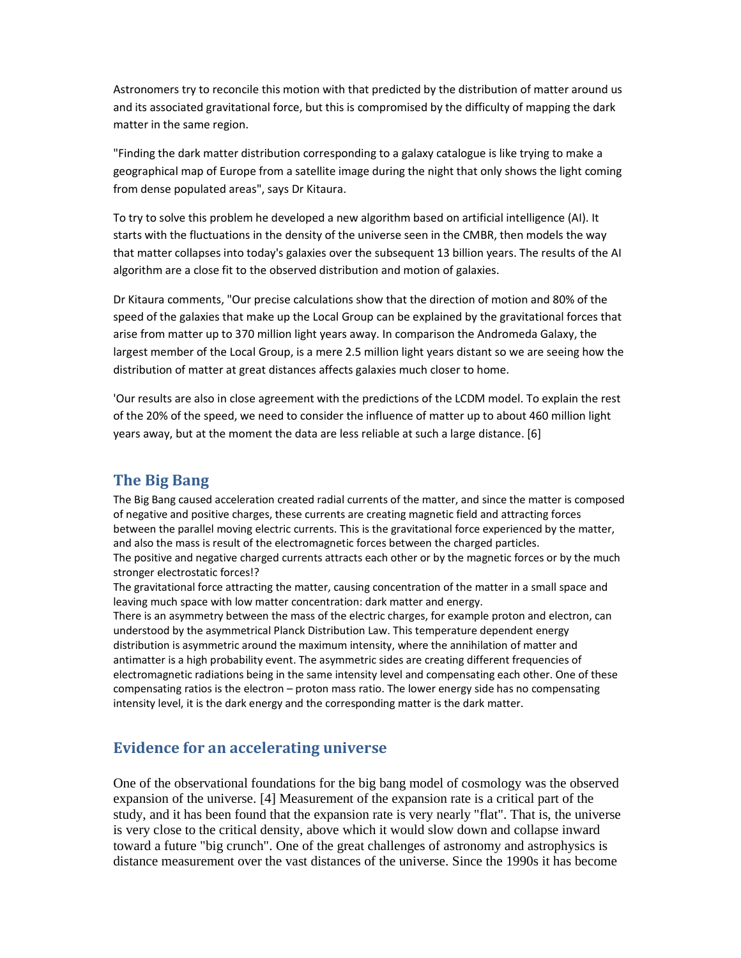Astronomers try to reconcile this motion with that predicted by the distribution of matter around us and its associated gravitational force, but this is compromised by the difficulty of mapping the dark matter in the same region.

"Finding the dark matter distribution corresponding to a galaxy catalogue is like trying to make a geographical map of Europe from a satellite image during the night that only shows the light coming from dense populated areas", says Dr Kitaura.

To try to solve this problem he developed a new algorithm based on artificial intelligence (AI). It starts with the fluctuations in the density of the universe seen in the CMBR, then models the way that matter collapses into today's galaxies over the subsequent 13 billion years. The results of the AI algorithm are a close fit to the observed distribution and motion of galaxies.

Dr Kitaura comments, "Our precise calculations show that the direction of motion and 80% of the speed of the galaxies that make up the Local Group can be explained by the gravitational forces that arise from matter up to 370 million light years away. In comparison the Andromeda Galaxy, the largest member of the Local Group, is a mere 2.5 million light years distant so we are seeing how the distribution of matter at great distances affects galaxies much closer to home.

'Our results are also in close agreement with the predictions of the LCDM model. To explain the rest of the 20% of the speed, we need to consider the influence of matter up to about 460 million light years away, but at the moment the data are less reliable at such a large distance. [6]

## **The Big Bang**

The Big Bang caused acceleration created radial currents of the matter, and since the matter is composed of negative and positive charges, these currents are creating magnetic field and attracting forces between the parallel moving electric currents. This is the gravitational force experienced by the matter, and also the mass is result of the electromagnetic forces between the charged particles. The positive and negative charged currents attracts each other or by the magnetic forces or by the much stronger electrostatic forces!?

The gravitational force attracting the matter, causing concentration of the matter in a small space and leaving much space with low matter concentration: dark matter and energy.

There is an asymmetry between the mass of the electric charges, for example proton and electron, can understood by the asymmetrical Planck Distribution Law. This temperature dependent energy distribution is asymmetric around the maximum intensity, where the annihilation of matter and antimatter is a high probability event. The asymmetric sides are creating different frequencies of electromagnetic radiations being in the same intensity level and compensating each other. One of these compensating ratios is the electron – proton mass ratio. The lower energy side has no compensating intensity level, it is the dark energy and the corresponding matter is the dark matter.

# **Evidence for an accelerating universe**

One of the observational foundations for the big bang model of cosmology was the observed expansion of the universe. [4] Measurement of the expansion rate is a critical part of the study, and it has been found that the expansion rate is very nearly "flat". That is, the universe is very close to the critical density, above which it would slow down and collapse inward toward a future "big crunch". One of the great challenges of astronomy and astrophysics is distance measurement over the vast distances of the universe. Since the 1990s it has become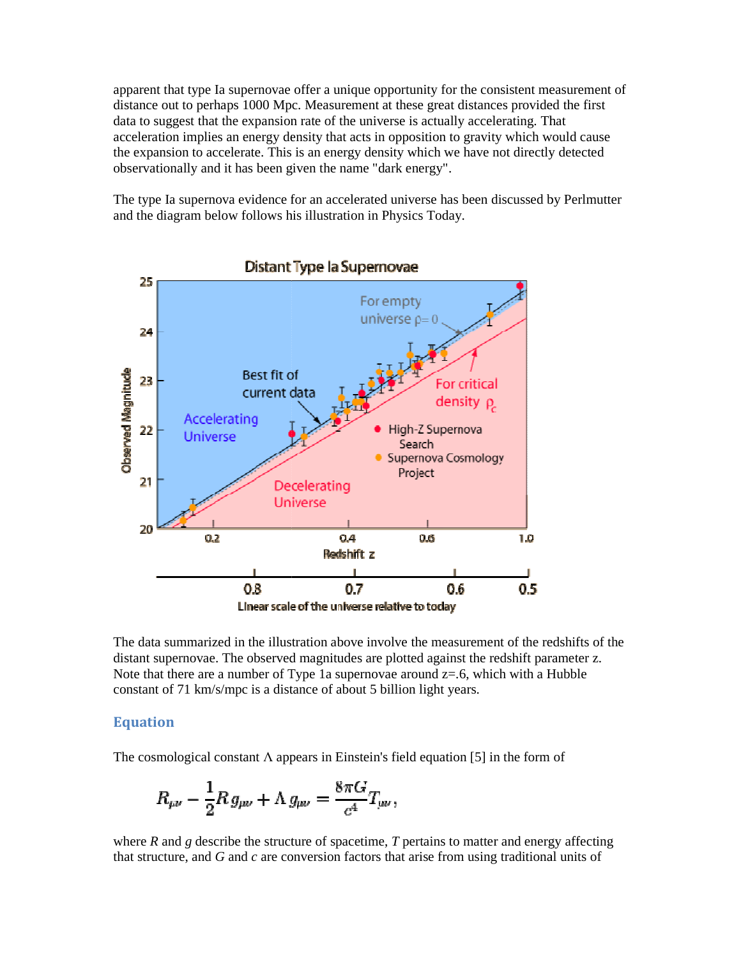apparent that type Ia supernovae offer a unique opportunity for the consistent measurement of distance out to perhaps 1000 Mpc. Measurement at these great distances provided the first data to suggest that the expansion rate of the universe is actually accelerating. That distance out to perhaps 1000 Mpc. Measurement at these great distances provided the first<br>data to suggest that the expansion rate of the universe is actually accelerating. That<br>acceleration implies an energy density that a the expansion to accelerate. This is an energy density which we have not directly detected observationally and it has been given the name "dark energy". observationally and it has been given the name "

The type Ia supernova evidence for an accelerated universe has been discussed by Perlmutter and the diagram below follows his illustration in Physics Today.



The data summarized in the illustration above involve the measurement of the redshifts of the distant supernovae. The observed magnitudes are plotted against the redshift parameter z. Note that there are a number of Type 1a supernovae around  $z=0.6$ , which with a Hubble constant of 71 km/s/mpc is a distance of about 5 billion light years.

#### **Equation**

The cosmological constant  $\Lambda$  appears in Einstein's field equation [5] in the form of

The cosmological constant 
$$
\Lambda
$$
 appears in Einstein's field equation [5] in the form of  
\n
$$
R_{\mu\nu} - \frac{1}{2}R g_{\mu\nu} + \Lambda g_{\mu\nu} = \frac{8\pi G}{c^4} T_{\mu\nu},
$$
\nwhere *R* and *g* describe the structure of spacetime, *T* pertains to matter and energy affecting

that structure, and *G* and *c* are conversion factors that arise from using traditional units of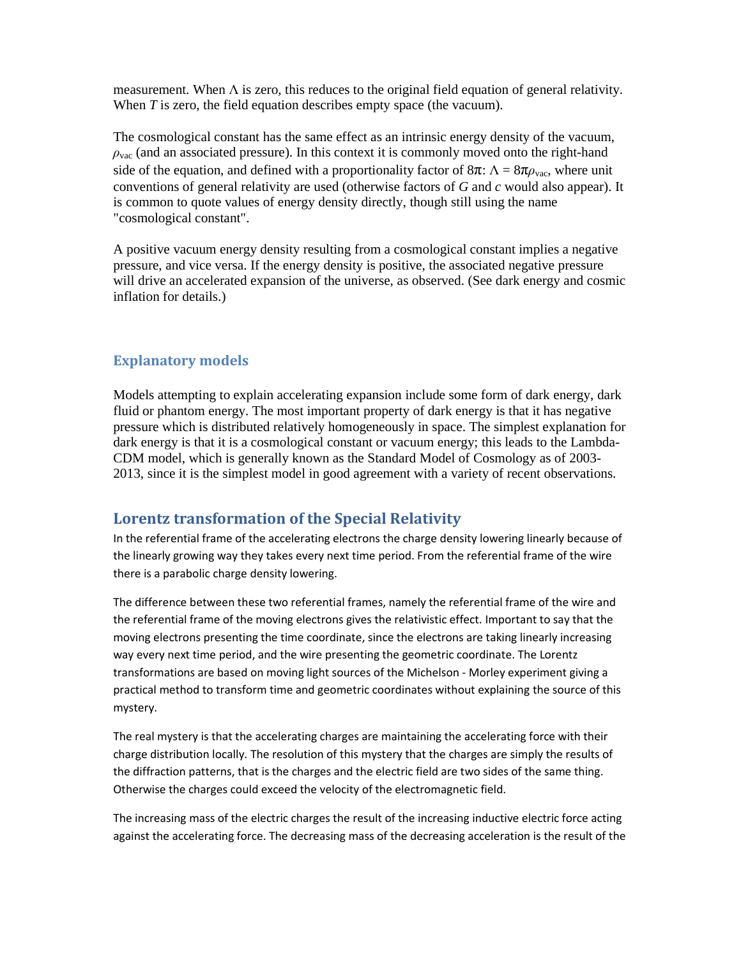measurement. When  $\Lambda$  is zero, this reduces to the original field equation of general relativity. When *T* is zero, the field equation describes empty space (the vacuum).

The cosmological constant has the same effect as an intrinsic energy density of the vacuum,  $\rho_{\text{vac}}$  (and an associated pressure). In this context it is commonly moved onto the right-hand side of the equation, and defined with a proportionality factor of  $8\pi$ :  $\Lambda = 8\pi\rho_{\text{vac}}$ , where unit conventions of general relativity are used (otherwise factors of *G* and *c* would also appear). It is common to quote values of energy density directly, though still using the name "cosmological constant".

A positive vacuum energy density resulting from a cosmological constant implies a negative pressure, and vice versa. If the energy density is positive, the associated negative pressure will drive an accelerated expansion of the universe, as observed. (See dark energy and cosmic inflation for details.)

#### **Explanatory models**

Models attempting to explain accelerating expansion include some form of dark energy, dark fluid or phantom energy. The most important property of dark energy is that it has negative pressure which is distributed relatively homogeneously in space. The simplest explanation for dark energy is that it is a cosmological constant or vacuum energy; this leads to the Lambda-CDM model, which is generally known as the Standard Model of Cosmology as of 2003- 2013, since it is the simplest model in good agreement with a variety of recent observations.

### **Lorentz transformation of the Special Relativity**

In the referential frame of the accelerating electrons the charge density lowering linearly because of the linearly growing way they takes every next time period. From the referential frame of the wire there is a parabolic charge density lowering.

The difference between these two referential frames, namely the referential frame of the wire and the referential frame of the moving electrons gives the relativistic effect. Important to say that the moving electrons presenting the time coordinate, since the electrons are taking linearly increasing way every next time period, and the wire presenting the geometric coordinate. The Lorentz transformations are based on moving light sources of the Michelson - Morley experiment giving a practical method to transform time and geometric coordinates without explaining the source of this mystery.

The real mystery is that the accelerating charges are maintaining the accelerating force with their charge distribution locally. The resolution of this mystery that the charges are simply the results of the diffraction patterns, that is the charges and the electric field are two sides of the same thing. Otherwise the charges could exceed the velocity of the electromagnetic field.

The increasing mass of the electric charges the result of the increasing inductive electric force acting against the accelerating force. The decreasing mass of the decreasing acceleration is the result of the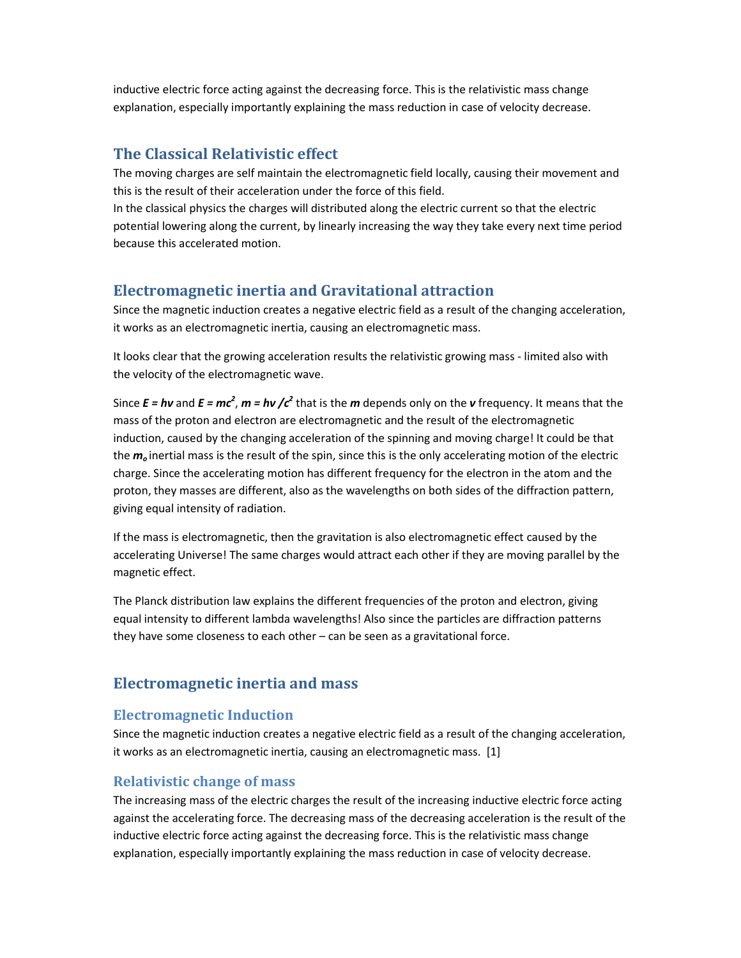inductive electric force acting against the decreasing force. This is the relativistic mass change explanation, especially importantly explaining the mass reduction in case of velocity decrease.

# **The Classical Relativistic effect**

The moving charges are self maintain the electromagnetic field locally, causing their movement and this is the result of their acceleration under the force of this field.

In the classical physics the charges will distributed along the electric current so that the electric potential lowering along the current, by linearly increasing the way they take every next time period because this accelerated motion.

# **Electromagnetic inertia and Gravitational attraction**

Since the magnetic induction creates a negative electric field as a result of the changing acceleration, it works as an electromagnetic inertia, causing an electromagnetic mass.

It looks clear that the growing acceleration results the relativistic growing mass - limited also with the velocity of the electromagnetic wave.

Since  $E = h\nu$  and  $E = mc^2$ ,  $m = h\nu$  / $c^2$  that is the *m* depends only on the *v* frequency. It means that the mass of the proton and electron are electromagnetic and the result of the electromagnetic induction, caused by the changing acceleration of the spinning and moving charge! It could be that the *m<sup>o</sup>* inertial mass is the result of the spin, since this is the only accelerating motion of the electric charge. Since the accelerating motion has different frequency for the electron in the atom and the proton, they masses are different, also as the wavelengths on both sides of the diffraction pattern, giving equal intensity of radiation.

If the mass is electromagnetic, then the gravitation is also electromagnetic effect caused by the accelerating Universe! The same charges would attract each other if they are moving parallel by the magnetic effect.

The Planck distribution law explains the different frequencies of the proton and electron, giving equal intensity to different lambda wavelengths! Also since the particles are diffraction patterns they have some closeness to each other – can be seen as a gravitational force.

#### **Electromagnetic inertia and mass**

#### **Electromagnetic Induction**

Since the magnetic induction creates a negative electric field as a result of the changing acceleration, it works as an electromagnetic inertia, causing an electromagnetic mass. [1]

#### **Relativistic change of mass**

The increasing mass of the electric charges the result of the increasing inductive electric force acting against the accelerating force. The decreasing mass of the decreasing acceleration is the result of the inductive electric force acting against the decreasing force. This is the relativistic mass change explanation, especially importantly explaining the mass reduction in case of velocity decrease.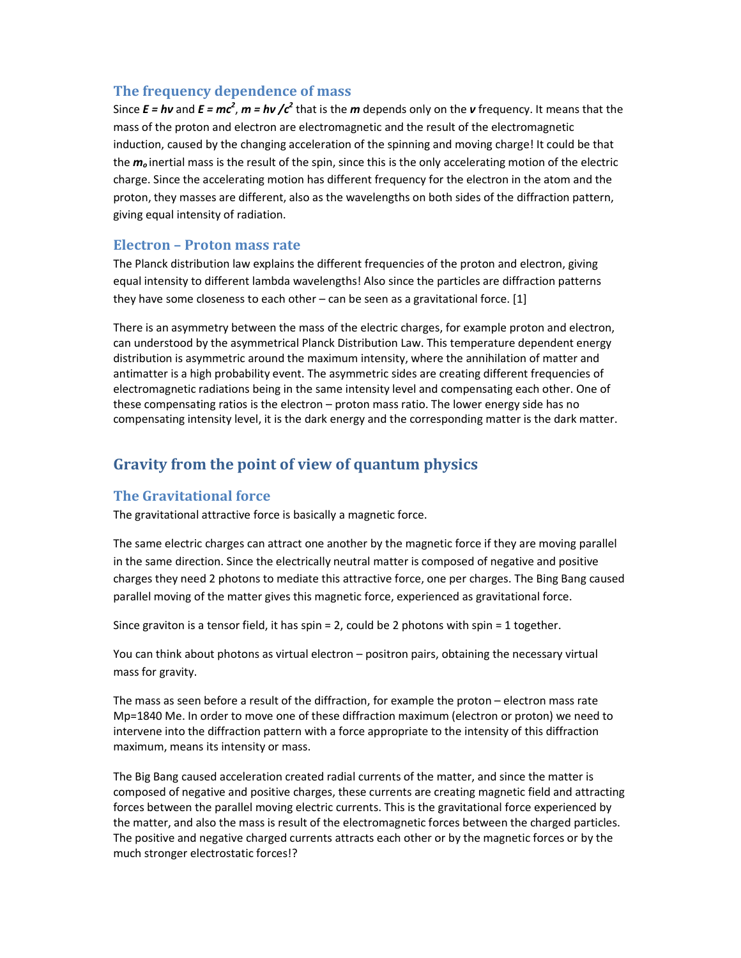### **The frequency dependence of mass**

Since  $E = h\nu$  and  $E = mc^2$ ,  $m = h\nu$  / $c^2$  that is the *m* depends only on the *v* frequency. It means that the mass of the proton and electron are electromagnetic and the result of the electromagnetic induction, caused by the changing acceleration of the spinning and moving charge! It could be that the *m<sup>o</sup>* inertial mass is the result of the spin, since this is the only accelerating motion of the electric charge. Since the accelerating motion has different frequency for the electron in the atom and the proton, they masses are different, also as the wavelengths on both sides of the diffraction pattern, giving equal intensity of radiation.

#### **Electron – Proton mass rate**

The Planck distribution law explains the different frequencies of the proton and electron, giving equal intensity to different lambda wavelengths! Also since the particles are diffraction patterns they have some closeness to each other  $-$  can be seen as a gravitational force. [1]

There is an asymmetry between the mass of the electric charges, for example proton and electron, can understood by the asymmetrical Planck Distribution Law. This temperature dependent energy distribution is asymmetric around the maximum intensity, where the annihilation of matter and antimatter is a high probability event. The asymmetric sides are creating different frequencies of electromagnetic radiations being in the same intensity level and compensating each other. One of these compensating ratios is the electron – proton mass ratio. The lower energy side has no compensating intensity level, it is the dark energy and the corresponding matter is the dark matter.

# **Gravity from the point of view of quantum physics**

# **The Gravitational force**

The gravitational attractive force is basically a magnetic force.

The same electric charges can attract one another by the magnetic force if they are moving parallel in the same direction. Since the electrically neutral matter is composed of negative and positive charges they need 2 photons to mediate this attractive force, one per charges. The Bing Bang caused parallel moving of the matter gives this magnetic force, experienced as gravitational force.

Since graviton is a tensor field, it has spin = 2, could be 2 photons with spin = 1 together.

You can think about photons as virtual electron – positron pairs, obtaining the necessary virtual mass for gravity.

The mass as seen before a result of the diffraction, for example the proton – electron mass rate Mp=1840 Me. In order to move one of these diffraction maximum (electron or proton) we need to intervene into the diffraction pattern with a force appropriate to the intensity of this diffraction maximum, means its intensity or mass.

The Big Bang caused acceleration created radial currents of the matter, and since the matter is composed of negative and positive charges, these currents are creating magnetic field and attracting forces between the parallel moving electric currents. This is the gravitational force experienced by the matter, and also the mass is result of the electromagnetic forces between the charged particles. The positive and negative charged currents attracts each other or by the magnetic forces or by the much stronger electrostatic forces!?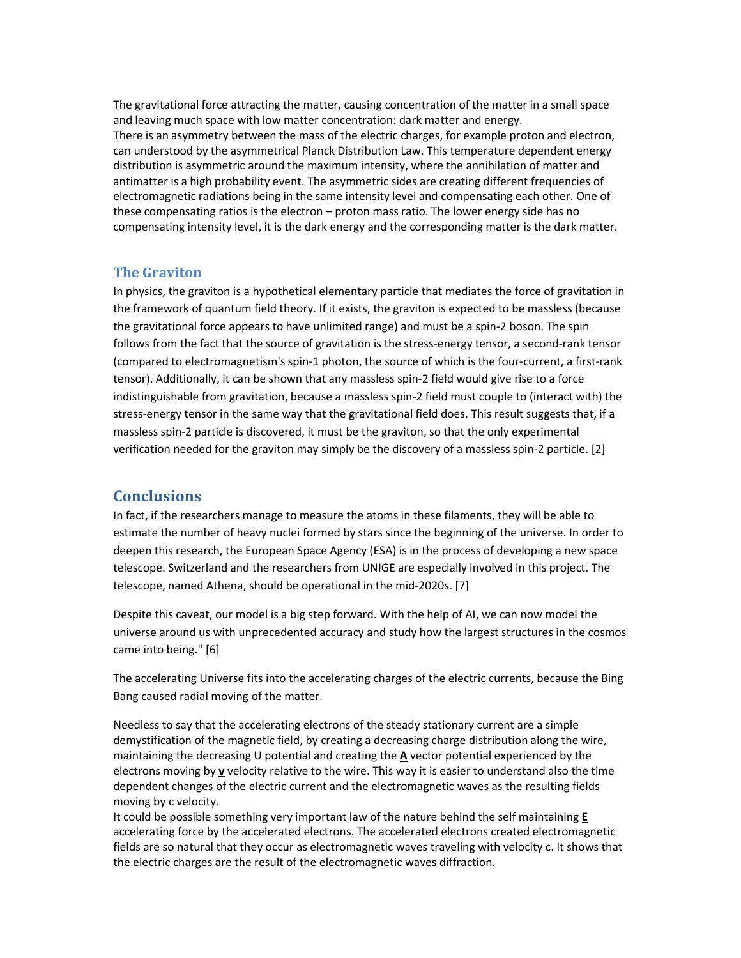The gravitational force attracting the matter, causing concentration of the matter in a small space and leaving much space with low matter concentration: dark matter and energy. There is an asymmetry between the mass of the electric charges, for example proton and electron, can understood by the asymmetrical Planck Distribution Law. This temperature dependent energy distribution is asymmetric around the maximum intensity, where the annihilation of matter and antimatter is a high probability event. The asymmetric sides are creating different frequencies of electromagnetic radiations being in the same intensity level and compensating each other. One of these compensating ratios is the electron – proton mass ratio. The lower energy side has no compensating intensity level, it is the dark energy and the corresponding matter is the dark matter.

#### **The Graviton**

In physics, the graviton is a hypothetical elementary particle that mediates the force of gravitation in the framework of quantum field theory. If it exists, the graviton is expected to be massless (because the gravitational force appears to have unlimited range) and must be a spin-2 boson. The spin follows from the fact that the source of gravitation is the stress-energy tensor, a second-rank tensor (compared to electromagnetism's spin-1 photon, the source of which is the four-current, a first-rank tensor). Additionally, it can be shown that any massless spin-2 field would give rise to a force indistinguishable from gravitation, because a massless spin-2 field must couple to (interact with) the stress-energy tensor in the same way that the gravitational field does. This result suggests that, if a massless spin-2 particle is discovered, it must be the graviton, so that the only experimental verification needed for the graviton may simply be the discovery of a massless spin-2 particle. [2]

#### **Conclusions**

In fact, if the researchers manage to measure the atoms in these filaments, they will be able to estimate the number of heavy nuclei formed by stars since the beginning of the universe. In order to deepen this research, the European Space Agency (ESA) is in the process of developing a new space telescope. Switzerland and the researchers from UNIGE are especially involved in this project. The telescope, named Athena, should be operational in the mid-2020s. [7]

Despite this caveat, our model is a big step forward. With the help of AI, we can now model the universe around us with unprecedented accuracy and study how the largest structures in the cosmos came into being." [6]

The accelerating Universe fits into the accelerating charges of the electric currents, because the Bing Bang caused radial moving of the matter.

Needless to say that the accelerating electrons of the steady stationary current are a simple demystification of the magnetic field, by creating a decreasing charge distribution along the wire, maintaining the decreasing U potential and creating the **A** vector potential experienced by the electrons moving by **v** velocity relative to the wire. This way it is easier to understand also the time dependent changes of the electric current and the electromagnetic waves as the resulting fields moving by c velocity.

It could be possible something very important law of the nature behind the self maintaining **E** accelerating force by the accelerated electrons. The accelerated electrons created electromagnetic fields are so natural that they occur as electromagnetic waves traveling with velocity c. It shows that the electric charges are the result of the electromagnetic waves diffraction.